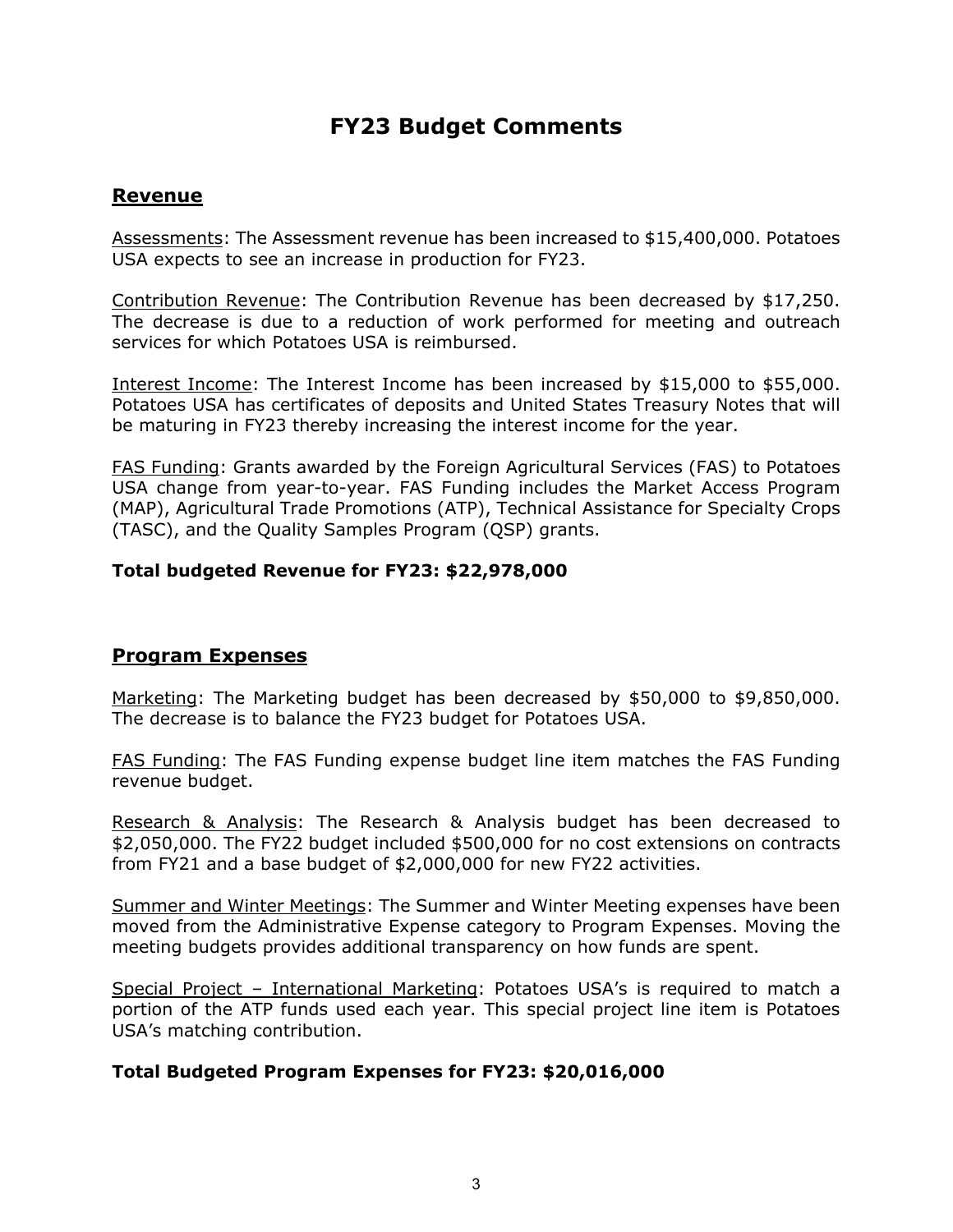# **FY23 Budget Comments**

## **Revenue**

Assessments: The Assessment revenue has been increased to \$15,400,000. Potatoes USA expects to see an increase in production for FY23.

Contribution Revenue: The Contribution Revenue has been decreased by \$17,250. The decrease is due to a reduction of work performed for meeting and outreach services for which Potatoes USA is reimbursed.

Interest Income: The Interest Income has been increased by \$15,000 to \$55,000. Potatoes USA has certificates of deposits and United States Treasury Notes that will be maturing in FY23 thereby increasing the interest income for the year.

FAS Funding: Grants awarded by the Foreign Agricultural Services (FAS) to Potatoes USA change from year-to-year. FAS Funding includes the Market Access Program (MAP), Agricultural Trade Promotions (ATP), Technical Assistance for Specialty Crops (TASC), and the Quality Samples Program (QSP) grants.

#### **Total budgeted Revenue for FY23: \$22,978,000**

#### **Program Expenses**

Marketing: The Marketing budget has been decreased by \$50,000 to \$9,850,000. The decrease is to balance the FY23 budget for Potatoes USA.

FAS Funding: The FAS Funding expense budget line item matches the FAS Funding revenue budget.

Research & Analysis: The Research & Analysis budget has been decreased to \$2,050,000. The FY22 budget included \$500,000 for no cost extensions on contracts from FY21 and a base budget of \$2,000,000 for new FY22 activities.

Summer and Winter Meetings: The Summer and Winter Meeting expenses have been moved from the Administrative Expense category to Program Expenses. Moving the meeting budgets provides additional transparency on how funds are spent.

Special Project – International Marketing: Potatoes USA's is required to match a portion of the ATP funds used each year. This special project line item is Potatoes USA's matching contribution.

#### **Total Budgeted Program Expenses for FY23: \$20,016,000**